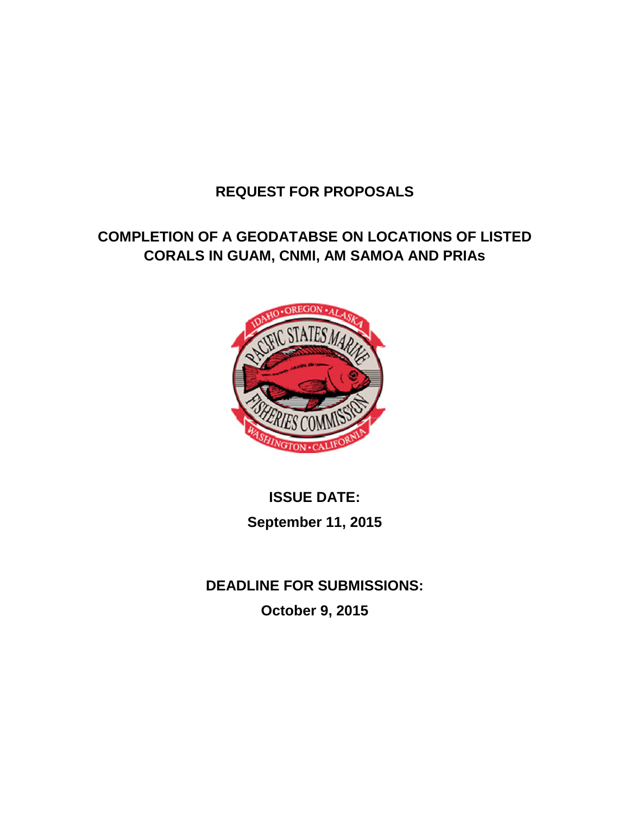## **REQUEST FOR PROPOSALS**

# **COMPLETION OF A GEODATABSE ON LOCATIONS OF LISTED CORALS IN GUAM, CNMI, AM SAMOA AND PRIAs**



# **ISSUE DATE: September 11, 2015**

**DEADLINE FOR SUBMISSIONS: October 9, 2015**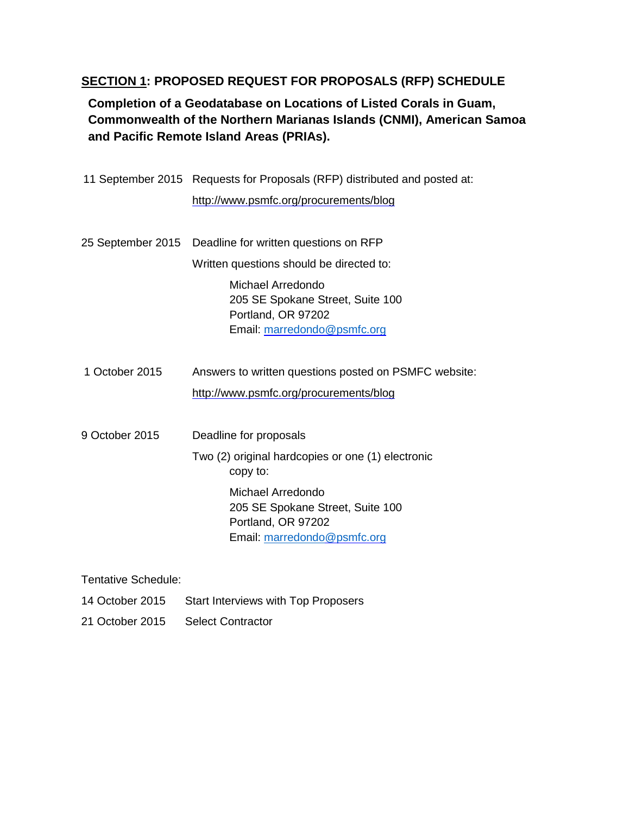## **SECTION 1: PROPOSED REQUEST FOR PROPOSALS (RFP) SCHEDULE**

**Completion of a Geodatabase on Locations of Listed Corals in Guam, Commonwealth of the Northern Marianas Islands (CNMI), American Samoa and Pacific Remote Island Areas (PRIAs).** 

|                   | 11 September 2015 Requests for Proposals (RFP) distributed and posted at:                                  |
|-------------------|------------------------------------------------------------------------------------------------------------|
|                   | http://www.psmfc.org/procurements/blog                                                                     |
| 25 September 2015 | Deadline for written questions on RFP                                                                      |
|                   | Written questions should be directed to:                                                                   |
|                   | Michael Arredondo<br>205 SE Spokane Street, Suite 100<br>Portland, OR 97202<br>Email: marredondo@psmfc.org |
| 1 October 2015    | Answers to written questions posted on PSMFC website:                                                      |
|                   | http://www.psmfc.org/procurements/blog                                                                     |
| 9 October 2015    | Deadline for proposals                                                                                     |
|                   | Two (2) original hardcopies or one (1) electronic<br>copy to:                                              |
|                   | Michael Arredondo<br>205 SE Spokane Street, Suite 100<br>Portland, OR 97202<br>Email: marredondo@psmfc.org |

Tentative Schedule:

- 14 October 2015 Start Interviews with Top Proposers
- 21 October 2015 Select Contractor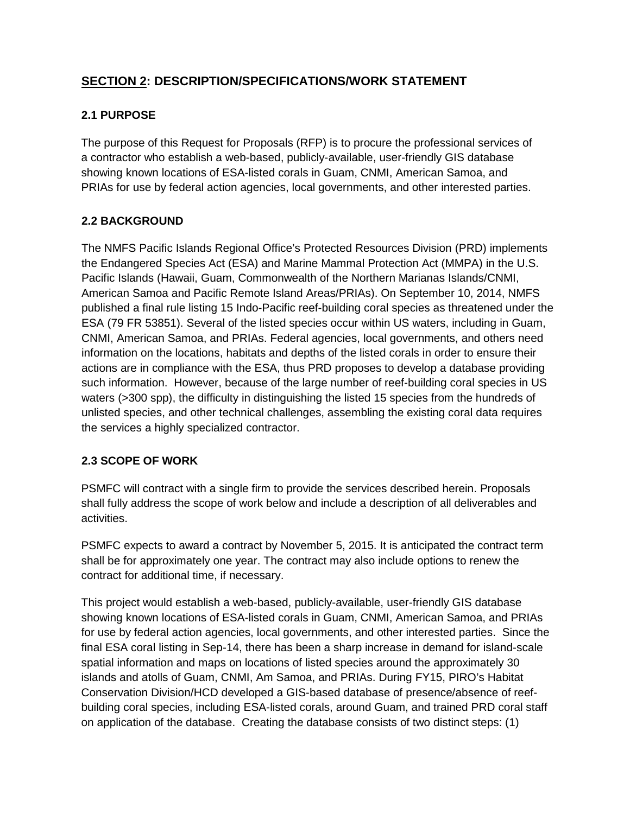## **SECTION 2: DESCRIPTION/SPECIFICATIONS/WORK STATEMENT**

## **2.1 PURPOSE**

The purpose of this Request for Proposals (RFP) is to procure the professional services of a contractor who establish a web-based, publicly-available, user-friendly GIS database showing known locations of ESA-listed corals in Guam, CNMI, American Samoa, and PRIAs for use by federal action agencies, local governments, and other interested parties.

## **2.2 BACKGROUND**

The NMFS Pacific Islands Regional Office's Protected Resources Division (PRD) implements the Endangered Species Act (ESA) and Marine Mammal Protection Act (MMPA) in the U.S. Pacific Islands (Hawaii, Guam, Commonwealth of the Northern Marianas Islands/CNMI, American Samoa and Pacific Remote Island Areas/PRIAs). On September 10, 2014, NMFS published a final rule listing 15 Indo-Pacific reef-building coral species as threatened under the ESA (79 FR 53851). Several of the listed species occur within US waters, including in Guam, CNMI, American Samoa, and PRIAs. Federal agencies, local governments, and others need information on the locations, habitats and depths of the listed corals in order to ensure their actions are in compliance with the ESA, thus PRD proposes to develop a database providing such information. However, because of the large number of reef-building coral species in US waters (>300 spp), the difficulty in distinguishing the listed 15 species from the hundreds of unlisted species, and other technical challenges, assembling the existing coral data requires the services a highly specialized contractor.

#### **2.3 SCOPE OF WORK**

PSMFC will contract with a single firm to provide the services described herein. Proposals shall fully address the scope of work below and include a description of all deliverables and activities.

PSMFC expects to award a contract by November 5, 2015. It is anticipated the contract term shall be for approximately one year. The contract may also include options to renew the contract for additional time, if necessary.

This project would establish a web-based, publicly-available, user-friendly GIS database showing known locations of ESA-listed corals in Guam, CNMI, American Samoa, and PRIAs for use by federal action agencies, local governments, and other interested parties. Since the final ESA coral listing in Sep-14, there has been a sharp increase in demand for island-scale spatial information and maps on locations of listed species around the approximately 30 islands and atolls of Guam, CNMI, Am Samoa, and PRIAs. During FY15, PIRO's Habitat Conservation Division/HCD developed a GIS-based database of presence/absence of reefbuilding coral species, including ESA-listed corals, around Guam, and trained PRD coral staff on application of the database. Creating the database consists of two distinct steps: (1)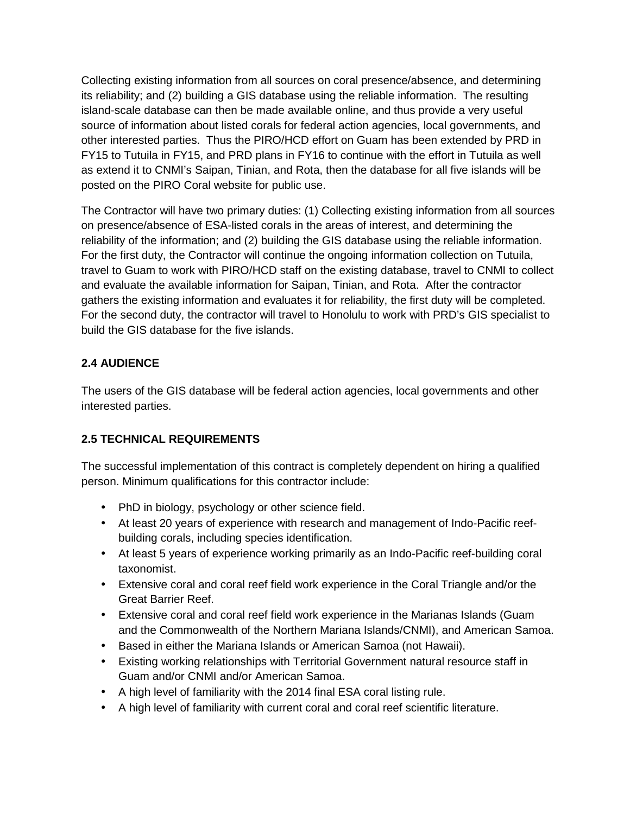Collecting existing information from all sources on coral presence/absence, and determining its reliability; and (2) building a GIS database using the reliable information. The resulting island-scale database can then be made available online, and thus provide a very useful source of information about listed corals for federal action agencies, local governments, and other interested parties. Thus the PIRO/HCD effort on Guam has been extended by PRD in FY15 to Tutuila in FY15, and PRD plans in FY16 to continue with the effort in Tutuila as well as extend it to CNMI's Saipan, Tinian, and Rota, then the database for all five islands will be posted on the PIRO Coral website for public use.

The Contractor will have two primary duties: (1) Collecting existing information from all sources on presence/absence of ESA-listed corals in the areas of interest, and determining the reliability of the information; and (2) building the GIS database using the reliable information. For the first duty, the Contractor will continue the ongoing information collection on Tutuila, travel to Guam to work with PIRO/HCD staff on the existing database, travel to CNMI to collect and evaluate the available information for Saipan, Tinian, and Rota. After the contractor gathers the existing information and evaluates it for reliability, the first duty will be completed. For the second duty, the contractor will travel to Honolulu to work with PRD's GIS specialist to build the GIS database for the five islands.

## **2.4 AUDIENCE**

The users of the GIS database will be federal action agencies, local governments and other interested parties.

#### **2.5 TECHNICAL REQUIREMENTS**

The successful implementation of this contract is completely dependent on hiring a qualified person. Minimum qualifications for this contractor include:

- PhD in biology, psychology or other science field.
- At least 20 years of experience with research and management of Indo-Pacific reefbuilding corals, including species identification.
- At least 5 years of experience working primarily as an Indo-Pacific reef-building coral taxonomist.
- Extensive coral and coral reef field work experience in the Coral Triangle and/or the Great Barrier Reef.
- Extensive coral and coral reef field work experience in the Marianas Islands (Guam and the Commonwealth of the Northern Mariana Islands/CNMI), and American Samoa.
- Based in either the Mariana Islands or American Samoa (not Hawaii).
- Existing working relationships with Territorial Government natural resource staff in Guam and/or CNMI and/or American Samoa.
- A high level of familiarity with the 2014 final ESA coral listing rule.
- A high level of familiarity with current coral and coral reef scientific literature.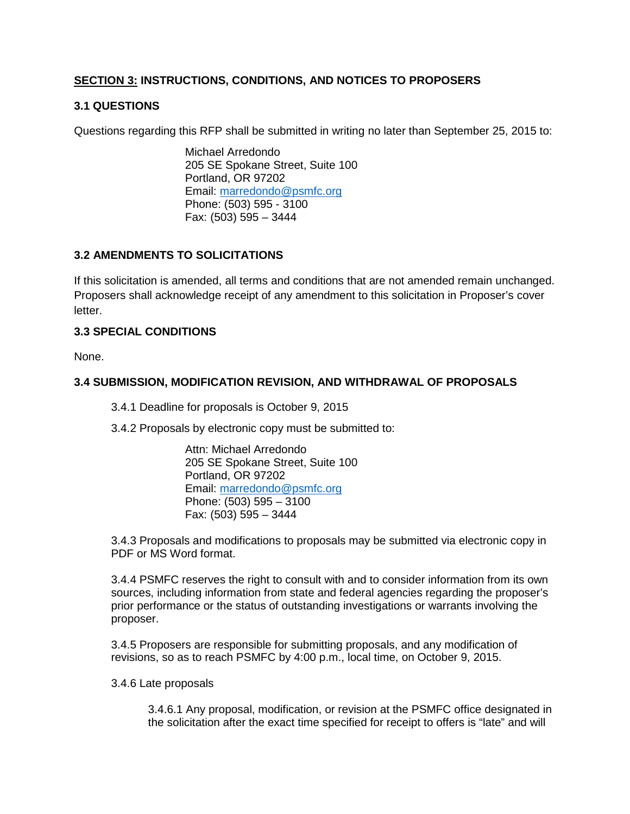#### **SECTION 3: INSTRUCTIONS, CONDITIONS, AND NOTICES TO PROPOSERS**

#### **3.1 QUESTIONS**

Questions regarding this RFP shall be submitted in writing no later than September 25, 2015 to:

 Michael Arredondo 205 SE Spokane Street, Suite 100 Portland, OR 97202 Email: marredondo@psmfc.org Phone: (503) 595 - 3100 Fax: (503) 595 – 3444

#### **3.2 AMENDMENTS TO SOLICITATIONS**

If this solicitation is amended, all terms and conditions that are not amended remain unchanged. Proposers shall acknowledge receipt of any amendment to this solicitation in Proposer's cover letter.

#### **3.3 SPECIAL CONDITIONS**

None.

#### **3.4 SUBMISSION, MODIFICATION REVISION, AND WITHDRAWAL OF PROPOSALS**

3.4.1 Deadline for proposals is October 9, 2015

3.4.2 Proposals by electronic copy must be submitted to:

 Attn: Michael Arredondo 205 SE Spokane Street, Suite 100 Portland, OR 97202 Email: marredondo@psmfc.org Phone: (503) 595 – 3100 Fax: (503) 595 – 3444

3.4.3 Proposals and modifications to proposals may be submitted via electronic copy in PDF or MS Word format.

3.4.4 PSMFC reserves the right to consult with and to consider information from its own sources, including information from state and federal agencies regarding the proposer's prior performance or the status of outstanding investigations or warrants involving the proposer.

3.4.5 Proposers are responsible for submitting proposals, and any modification of revisions, so as to reach PSMFC by 4:00 p.m., local time, on October 9, 2015.

#### 3.4.6 Late proposals

3.4.6.1 Any proposal, modification, or revision at the PSMFC office designated in the solicitation after the exact time specified for receipt to offers is "late" and will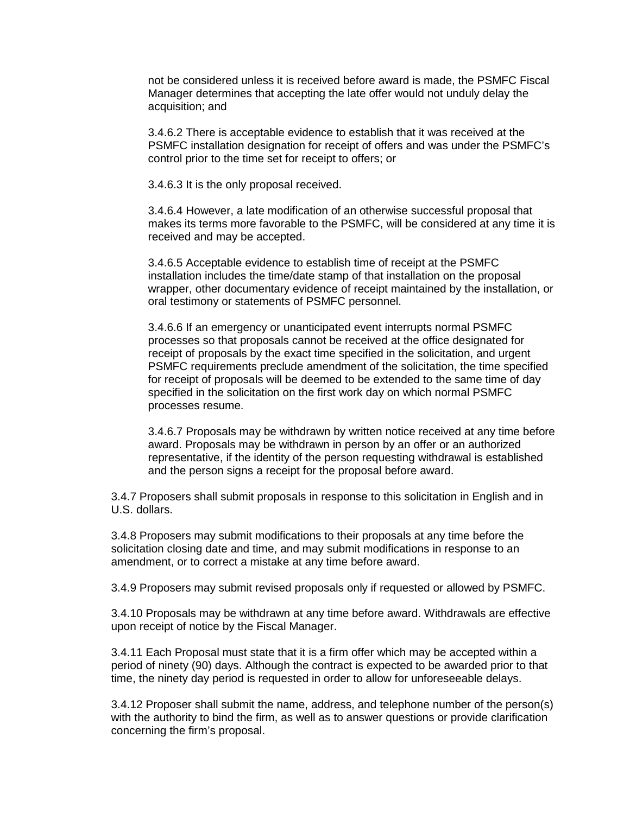not be considered unless it is received before award is made, the PSMFC Fiscal Manager determines that accepting the late offer would not unduly delay the acquisition; and

3.4.6.2 There is acceptable evidence to establish that it was received at the PSMFC installation designation for receipt of offers and was under the PSMFC's control prior to the time set for receipt to offers; or

3.4.6.3 It is the only proposal received.

3.4.6.4 However, a late modification of an otherwise successful proposal that makes its terms more favorable to the PSMFC, will be considered at any time it is received and may be accepted.

3.4.6.5 Acceptable evidence to establish time of receipt at the PSMFC installation includes the time/date stamp of that installation on the proposal wrapper, other documentary evidence of receipt maintained by the installation, or oral testimony or statements of PSMFC personnel.

3.4.6.6 If an emergency or unanticipated event interrupts normal PSMFC processes so that proposals cannot be received at the office designated for receipt of proposals by the exact time specified in the solicitation, and urgent PSMFC requirements preclude amendment of the solicitation, the time specified for receipt of proposals will be deemed to be extended to the same time of day specified in the solicitation on the first work day on which normal PSMFC processes resume.

3.4.6.7 Proposals may be withdrawn by written notice received at any time before award. Proposals may be withdrawn in person by an offer or an authorized representative, if the identity of the person requesting withdrawal is established and the person signs a receipt for the proposal before award.

3.4.7 Proposers shall submit proposals in response to this solicitation in English and in U.S. dollars.

3.4.8 Proposers may submit modifications to their proposals at any time before the solicitation closing date and time, and may submit modifications in response to an amendment, or to correct a mistake at any time before award.

3.4.9 Proposers may submit revised proposals only if requested or allowed by PSMFC.

3.4.10 Proposals may be withdrawn at any time before award. Withdrawals are effective upon receipt of notice by the Fiscal Manager.

3.4.11 Each Proposal must state that it is a firm offer which may be accepted within a period of ninety (90) days. Although the contract is expected to be awarded prior to that time, the ninety day period is requested in order to allow for unforeseeable delays.

3.4.12 Proposer shall submit the name, address, and telephone number of the person(s) with the authority to bind the firm, as well as to answer questions or provide clarification concerning the firm's proposal.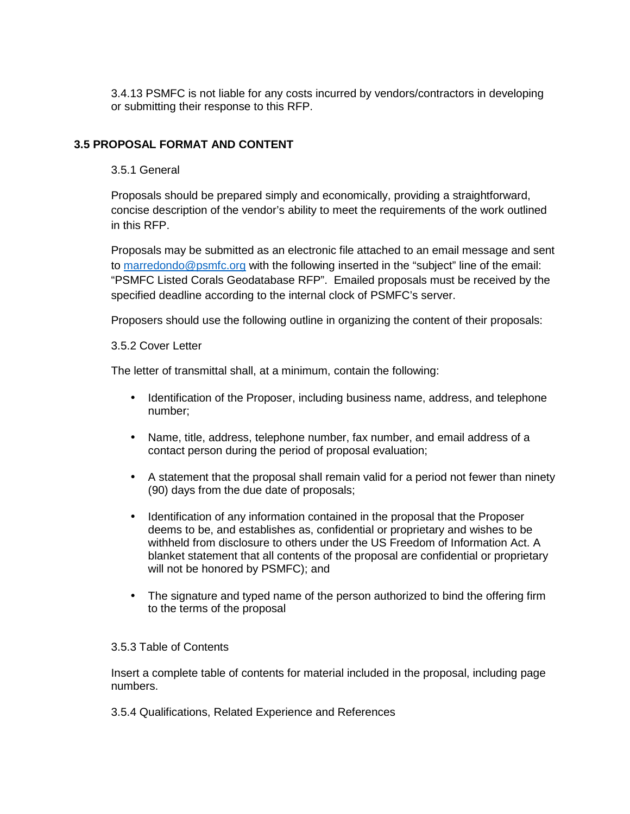3.4.13 PSMFC is not liable for any costs incurred by vendors/contractors in developing or submitting their response to this RFP.

#### **3.5 PROPOSAL FORMAT AND CONTENT**

#### 3.5.1 General

Proposals should be prepared simply and economically, providing a straightforward, concise description of the vendor's ability to meet the requirements of the work outlined in this RFP.

Proposals may be submitted as an electronic file attached to an email message and sent to marredondo@psmfc.org with the following inserted in the "subject" line of the email: "PSMFC Listed Corals Geodatabase RFP". Emailed proposals must be received by the specified deadline according to the internal clock of PSMFC's server.

Proposers should use the following outline in organizing the content of their proposals:

#### 3.5.2 Cover Letter

The letter of transmittal shall, at a minimum, contain the following:

- Identification of the Proposer, including business name, address, and telephone number;
- Name, title, address, telephone number, fax number, and email address of a contact person during the period of proposal evaluation;
- A statement that the proposal shall remain valid for a period not fewer than ninety (90) days from the due date of proposals;
- Identification of any information contained in the proposal that the Proposer deems to be, and establishes as, confidential or proprietary and wishes to be withheld from disclosure to others under the US Freedom of Information Act. A blanket statement that all contents of the proposal are confidential or proprietary will not be honored by PSMFC); and
- The signature and typed name of the person authorized to bind the offering firm to the terms of the proposal

#### 3.5.3 Table of Contents

Insert a complete table of contents for material included in the proposal, including page numbers.

3.5.4 Qualifications, Related Experience and References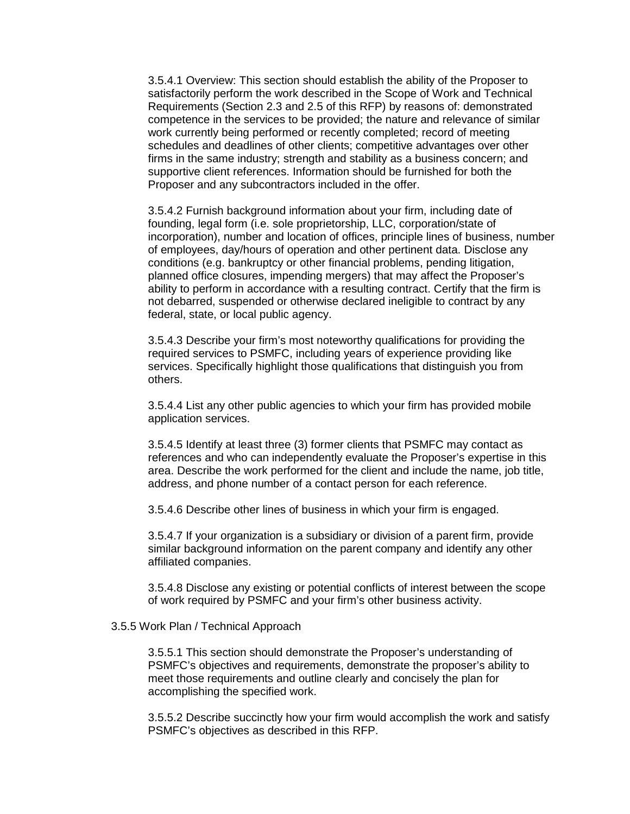3.5.4.1 Overview: This section should establish the ability of the Proposer to satisfactorily perform the work described in the Scope of Work and Technical Requirements (Section 2.3 and 2.5 of this RFP) by reasons of: demonstrated competence in the services to be provided; the nature and relevance of similar work currently being performed or recently completed; record of meeting schedules and deadlines of other clients; competitive advantages over other firms in the same industry; strength and stability as a business concern; and supportive client references. Information should be furnished for both the Proposer and any subcontractors included in the offer.

3.5.4.2 Furnish background information about your firm, including date of founding, legal form (i.e. sole proprietorship, LLC, corporation/state of incorporation), number and location of offices, principle lines of business, number of employees, day/hours of operation and other pertinent data. Disclose any conditions (e.g. bankruptcy or other financial problems, pending litigation, planned office closures, impending mergers) that may affect the Proposer's ability to perform in accordance with a resulting contract. Certify that the firm is not debarred, suspended or otherwise declared ineligible to contract by any federal, state, or local public agency.

3.5.4.3 Describe your firm's most noteworthy qualifications for providing the required services to PSMFC, including years of experience providing like services. Specifically highlight those qualifications that distinguish you from others.

3.5.4.4 List any other public agencies to which your firm has provided mobile application services.

3.5.4.5 Identify at least three (3) former clients that PSMFC may contact as references and who can independently evaluate the Proposer's expertise in this area. Describe the work performed for the client and include the name, job title, address, and phone number of a contact person for each reference.

3.5.4.6 Describe other lines of business in which your firm is engaged.

3.5.4.7 If your organization is a subsidiary or division of a parent firm, provide similar background information on the parent company and identify any other affiliated companies.

3.5.4.8 Disclose any existing or potential conflicts of interest between the scope of work required by PSMFC and your firm's other business activity.

#### 3.5.5 Work Plan / Technical Approach

3.5.5.1 This section should demonstrate the Proposer's understanding of PSMFC's objectives and requirements, demonstrate the proposer's ability to meet those requirements and outline clearly and concisely the plan for accomplishing the specified work.

3.5.5.2 Describe succinctly how your firm would accomplish the work and satisfy PSMFC's objectives as described in this RFP.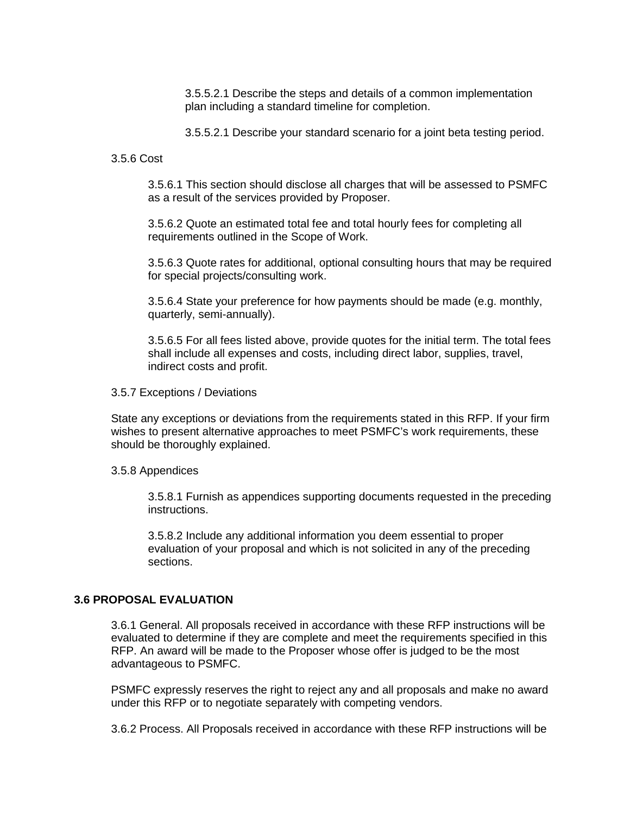3.5.5.2.1 Describe the steps and details of a common implementation plan including a standard timeline for completion.

3.5.5.2.1 Describe your standard scenario for a joint beta testing period.

3.5.6 Cost

3.5.6.1 This section should disclose all charges that will be assessed to PSMFC as a result of the services provided by Proposer.

3.5.6.2 Quote an estimated total fee and total hourly fees for completing all requirements outlined in the Scope of Work.

3.5.6.3 Quote rates for additional, optional consulting hours that may be required for special projects/consulting work.

3.5.6.4 State your preference for how payments should be made (e.g. monthly, quarterly, semi-annually).

3.5.6.5 For all fees listed above, provide quotes for the initial term. The total fees shall include all expenses and costs, including direct labor, supplies, travel, indirect costs and profit.

3.5.7 Exceptions / Deviations

State any exceptions or deviations from the requirements stated in this RFP. If your firm wishes to present alternative approaches to meet PSMFC's work requirements, these should be thoroughly explained.

3.5.8 Appendices

3.5.8.1 Furnish as appendices supporting documents requested in the preceding instructions.

3.5.8.2 Include any additional information you deem essential to proper evaluation of your proposal and which is not solicited in any of the preceding sections.

#### **3.6 PROPOSAL EVALUATION**

3.6.1 General. All proposals received in accordance with these RFP instructions will be evaluated to determine if they are complete and meet the requirements specified in this RFP. An award will be made to the Proposer whose offer is judged to be the most advantageous to PSMFC.

PSMFC expressly reserves the right to reject any and all proposals and make no award under this RFP or to negotiate separately with competing vendors.

3.6.2 Process. All Proposals received in accordance with these RFP instructions will be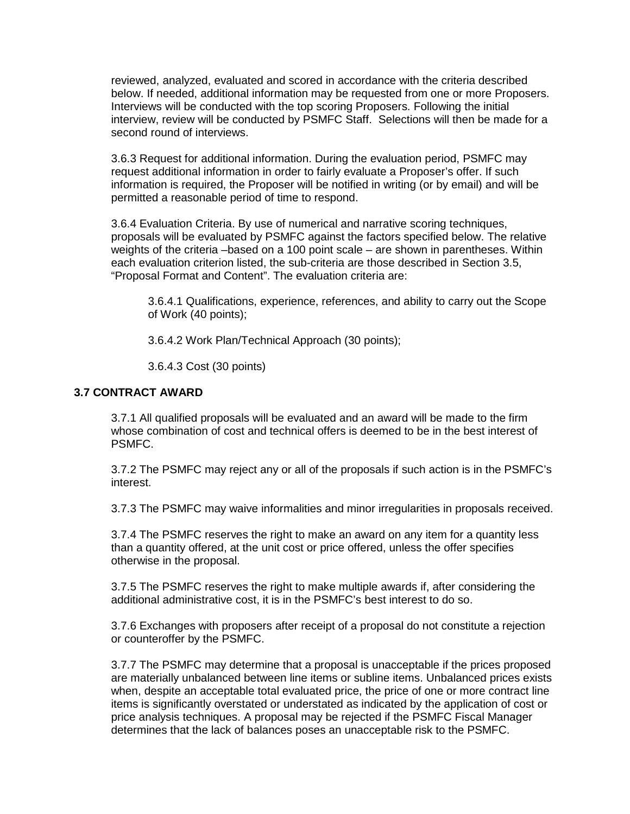reviewed, analyzed, evaluated and scored in accordance with the criteria described below. If needed, additional information may be requested from one or more Proposers. Interviews will be conducted with the top scoring Proposers. Following the initial interview, review will be conducted by PSMFC Staff. Selections will then be made for a second round of interviews.

3.6.3 Request for additional information. During the evaluation period, PSMFC may request additional information in order to fairly evaluate a Proposer's offer. If such information is required, the Proposer will be notified in writing (or by email) and will be permitted a reasonable period of time to respond.

3.6.4 Evaluation Criteria. By use of numerical and narrative scoring techniques, proposals will be evaluated by PSMFC against the factors specified below. The relative weights of the criteria –based on a 100 point scale – are shown in parentheses. Within each evaluation criterion listed, the sub-criteria are those described in Section 3.5, "Proposal Format and Content". The evaluation criteria are:

3.6.4.1 Qualifications, experience, references, and ability to carry out the Scope of Work (40 points);

3.6.4.2 Work Plan/Technical Approach (30 points);

3.6.4.3 Cost (30 points)

#### **3.7 CONTRACT AWARD**

3.7.1 All qualified proposals will be evaluated and an award will be made to the firm whose combination of cost and technical offers is deemed to be in the best interest of PSMFC.

3.7.2 The PSMFC may reject any or all of the proposals if such action is in the PSMFC's interest.

3.7.3 The PSMFC may waive informalities and minor irregularities in proposals received.

3.7.4 The PSMFC reserves the right to make an award on any item for a quantity less than a quantity offered, at the unit cost or price offered, unless the offer specifies otherwise in the proposal.

3.7.5 The PSMFC reserves the right to make multiple awards if, after considering the additional administrative cost, it is in the PSMFC's best interest to do so.

3.7.6 Exchanges with proposers after receipt of a proposal do not constitute a rejection or counteroffer by the PSMFC.

3.7.7 The PSMFC may determine that a proposal is unacceptable if the prices proposed are materially unbalanced between line items or subline items. Unbalanced prices exists when, despite an acceptable total evaluated price, the price of one or more contract line items is significantly overstated or understated as indicated by the application of cost or price analysis techniques. A proposal may be rejected if the PSMFC Fiscal Manager determines that the lack of balances poses an unacceptable risk to the PSMFC.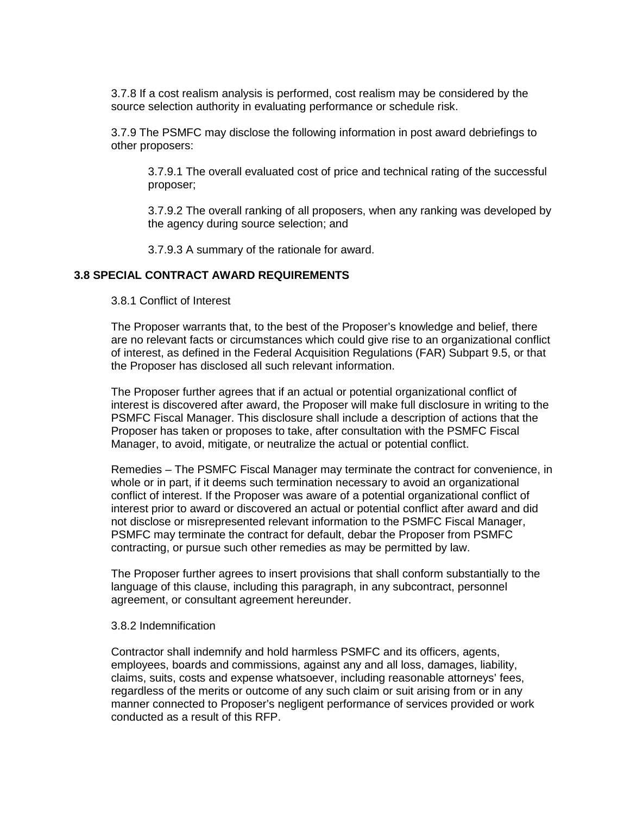3.7.8 If a cost realism analysis is performed, cost realism may be considered by the source selection authority in evaluating performance or schedule risk.

3.7.9 The PSMFC may disclose the following information in post award debriefings to other proposers:

3.7.9.1 The overall evaluated cost of price and technical rating of the successful proposer;

3.7.9.2 The overall ranking of all proposers, when any ranking was developed by the agency during source selection; and

3.7.9.3 A summary of the rationale for award.

#### **3.8 SPECIAL CONTRACT AWARD REQUIREMENTS**

3.8.1 Conflict of Interest

The Proposer warrants that, to the best of the Proposer's knowledge and belief, there are no relevant facts or circumstances which could give rise to an organizational conflict of interest, as defined in the Federal Acquisition Regulations (FAR) Subpart 9.5, or that the Proposer has disclosed all such relevant information.

The Proposer further agrees that if an actual or potential organizational conflict of interest is discovered after award, the Proposer will make full disclosure in writing to the PSMFC Fiscal Manager. This disclosure shall include a description of actions that the Proposer has taken or proposes to take, after consultation with the PSMFC Fiscal Manager, to avoid, mitigate, or neutralize the actual or potential conflict.

Remedies – The PSMFC Fiscal Manager may terminate the contract for convenience, in whole or in part, if it deems such termination necessary to avoid an organizational conflict of interest. If the Proposer was aware of a potential organizational conflict of interest prior to award or discovered an actual or potential conflict after award and did not disclose or misrepresented relevant information to the PSMFC Fiscal Manager, PSMFC may terminate the contract for default, debar the Proposer from PSMFC contracting, or pursue such other remedies as may be permitted by law.

The Proposer further agrees to insert provisions that shall conform substantially to the language of this clause, including this paragraph, in any subcontract, personnel agreement, or consultant agreement hereunder.

#### 3.8.2 Indemnification

Contractor shall indemnify and hold harmless PSMFC and its officers, agents, employees, boards and commissions, against any and all loss, damages, liability, claims, suits, costs and expense whatsoever, including reasonable attorneys' fees, regardless of the merits or outcome of any such claim or suit arising from or in any manner connected to Proposer's negligent performance of services provided or work conducted as a result of this RFP.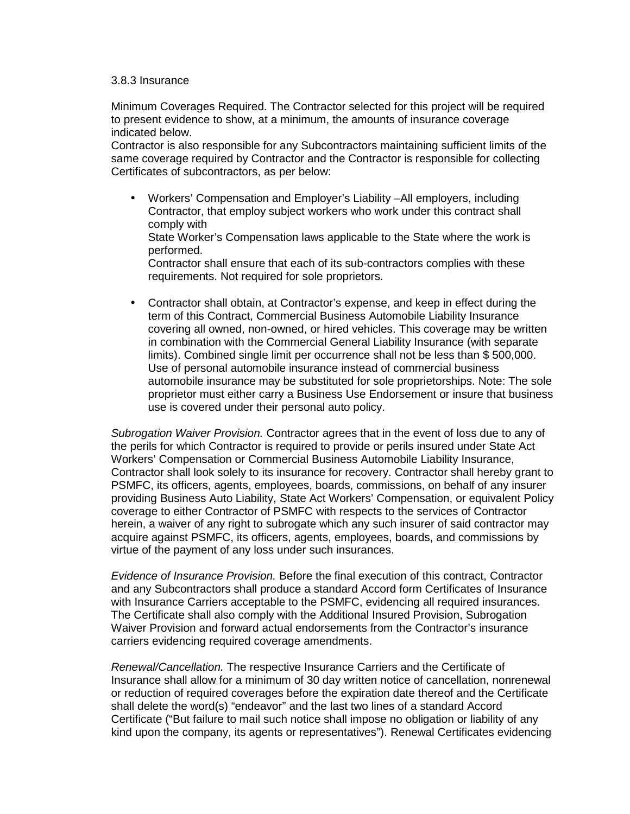#### 3.8.3 Insurance

Minimum Coverages Required. The Contractor selected for this project will be required to present evidence to show, at a minimum, the amounts of insurance coverage indicated below.

Contractor is also responsible for any Subcontractors maintaining sufficient limits of the same coverage required by Contractor and the Contractor is responsible for collecting Certificates of subcontractors, as per below:

• Workers' Compensation and Employer's Liability –All employers, including Contractor, that employ subject workers who work under this contract shall comply with

State Worker's Compensation laws applicable to the State where the work is performed.

Contractor shall ensure that each of its sub-contractors complies with these requirements. Not required for sole proprietors.

• Contractor shall obtain, at Contractor's expense, and keep in effect during the term of this Contract, Commercial Business Automobile Liability Insurance covering all owned, non-owned, or hired vehicles. This coverage may be written in combination with the Commercial General Liability Insurance (with separate limits). Combined single limit per occurrence shall not be less than \$ 500,000. Use of personal automobile insurance instead of commercial business automobile insurance may be substituted for sole proprietorships. Note: The sole proprietor must either carry a Business Use Endorsement or insure that business use is covered under their personal auto policy.

Subrogation Waiver Provision. Contractor agrees that in the event of loss due to any of the perils for which Contractor is required to provide or perils insured under State Act Workers' Compensation or Commercial Business Automobile Liability Insurance, Contractor shall look solely to its insurance for recovery. Contractor shall hereby grant to PSMFC, its officers, agents, employees, boards, commissions, on behalf of any insurer providing Business Auto Liability, State Act Workers' Compensation, or equivalent Policy coverage to either Contractor of PSMFC with respects to the services of Contractor herein, a waiver of any right to subrogate which any such insurer of said contractor may acquire against PSMFC, its officers, agents, employees, boards, and commissions by virtue of the payment of any loss under such insurances.

Evidence of Insurance Provision. Before the final execution of this contract, Contractor and any Subcontractors shall produce a standard Accord form Certificates of Insurance with Insurance Carriers acceptable to the PSMFC, evidencing all required insurances. The Certificate shall also comply with the Additional Insured Provision, Subrogation Waiver Provision and forward actual endorsements from the Contractor's insurance carriers evidencing required coverage amendments.

Renewal/Cancellation. The respective Insurance Carriers and the Certificate of Insurance shall allow for a minimum of 30 day written notice of cancellation, nonrenewal or reduction of required coverages before the expiration date thereof and the Certificate shall delete the word(s) "endeavor" and the last two lines of a standard Accord Certificate ("But failure to mail such notice shall impose no obligation or liability of any kind upon the company, its agents or representatives"). Renewal Certificates evidencing